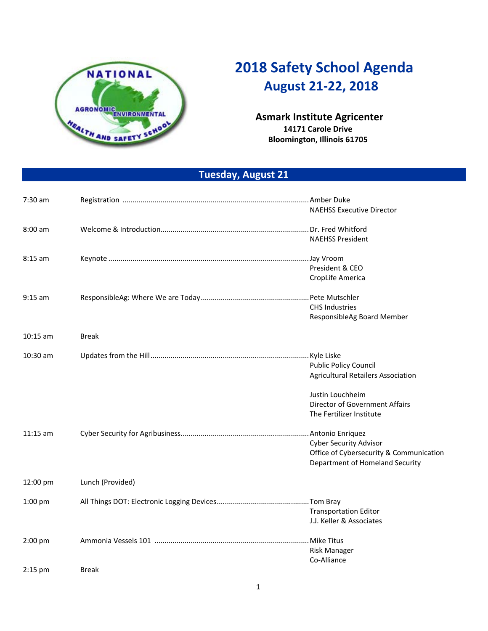

## **2018 Safety School Agenda August 21‐22, 2018**

## **Asmark Institute Agricenter 14171 Carole Drive Bloomington, Illinois 61705**

**Tuesday, August 21** 

| $7:30$ am  |                  |                                           |
|------------|------------------|-------------------------------------------|
|            |                  | <b>NAEHSS Executive Director</b>          |
|            |                  |                                           |
| $8:00$ am  |                  |                                           |
|            |                  | <b>NAEHSS President</b>                   |
|            |                  |                                           |
| $8:15$ am  |                  | President & CEO                           |
|            |                  | CropLife America                          |
|            |                  |                                           |
| $9:15$ am  |                  |                                           |
|            |                  | <b>CHS Industries</b>                     |
|            |                  | ResponsibleAg Board Member                |
|            |                  |                                           |
| $10:15$ am | <b>Break</b>     |                                           |
|            |                  |                                           |
| 10:30 am   |                  |                                           |
|            |                  | <b>Public Policy Council</b>              |
|            |                  | <b>Agricultural Retailers Association</b> |
|            |                  | Justin Louchheim                          |
|            |                  | <b>Director of Government Affairs</b>     |
|            |                  | The Fertilizer Institute                  |
|            |                  |                                           |
| $11:15$ am |                  |                                           |
|            |                  | <b>Cyber Security Advisor</b>             |
|            |                  | Office of Cybersecurity & Communication   |
|            |                  | Department of Homeland Security           |
|            |                  |                                           |
| 12:00 pm   | Lunch (Provided) |                                           |
|            |                  |                                           |
| $1:00$ pm  |                  | <b>Transportation Editor</b>              |
|            |                  | J.J. Keller & Associates                  |
|            |                  |                                           |
| 2:00 pm    |                  |                                           |
|            |                  | <b>Risk Manager</b>                       |
|            |                  | Co-Alliance                               |
| $2:15$ pm  | <b>Break</b>     |                                           |